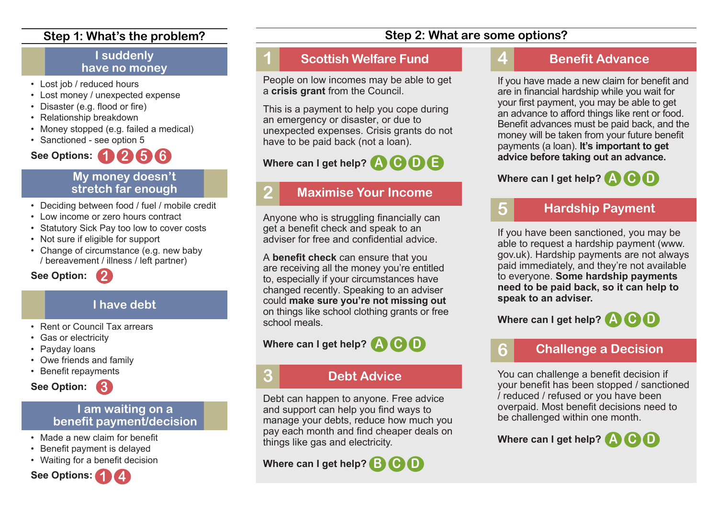#### **Step 1: What's the problem?**

#### **I suddenly have no money**

- Lost job / reduced hours
- Lost money / unexpected expense
- Disaster (e.g. flood or fire)
- Relationship breakdown
- Money stopped (e.g. failed a medical)
- Sanctioned see option 5

# **1 2 5 6 See Options:**

#### **My money doesn't stretch far enough**

- Deciding between food / fuel / mobile credit
- Low income or zero hours contract

**2**

- Statutory Sick Pay too low to cover costs
- Not sure if eligible for support
- Change of circumstance (e.g. new baby / bereavement / illness / left partner)

**See Option:**

## **I have debt**

- Rent or Council Tax arrears
- Gas or electricity
- Payday loans
- Owe friends and family
- Benefit repayments



#### **I am waiting on a benefit payment/decision**

- Made a new claim for benefit
- Benefit payment is delayed
- Waiting for a benefit decision



## **1 Scottish Welfare Fund**

People on low incomes may be able to get a **crisis grant** from the Council.

This is a payment to help you cope during an emergency or disaster, or due to unexpected expenses. Crisis grants do not have to be paid back (not a loan).

# **Where can I get help? A C D E**

## **2 Maximise Your Income**

Anyone who is struggling financially can get a benefit check and speak to an adviser for free and confidential advice.

A **benefit check** can ensure that you are receiving all the money you're entitled to, especially if your circumstances have changed recently. Speaking to an adviser could **make sure you're not missing out** on things like school clothing grants or free school meals.

## **Where can I get help? A C D**

# **3 Debt Advice**

Debt can happen to anyone. Free advice and support can help you find ways to manage your debts, reduce how much you pay each month and find cheaper deals on things like gas and electricity.

**Where can I get help? B C D**

## **Step 2: What are some options?**

# **4 Benefit Advance**

If you have made a new claim for benefit and are in financial hardship while you wait for your first payment, you may be able to get an advance to afford things like rent or food. Benefit advances must be paid back, and the money will be taken from your future benefit payments (a loan). **It's important to get advice before taking out an advance.** 

# **Where can I get help? A C D**

# **5 Hardship Payment**

If you have been sanctioned, you may be able to request a hardship payment (www. gov.uk). Hardship payments are not always paid immediately, and they're not available to everyone. **Some hardship payments need to be paid back, so it can help to speak to an adviser.**

**Where can I get help? A C D**

## **6 Challenge a Decision**

You can challenge a benefit decision if your benefit has been stopped / sanctioned / reduced / refused or you have been overpaid. Most benefit decisions need to be challenged within one month.

**Where can I get help? A C D**